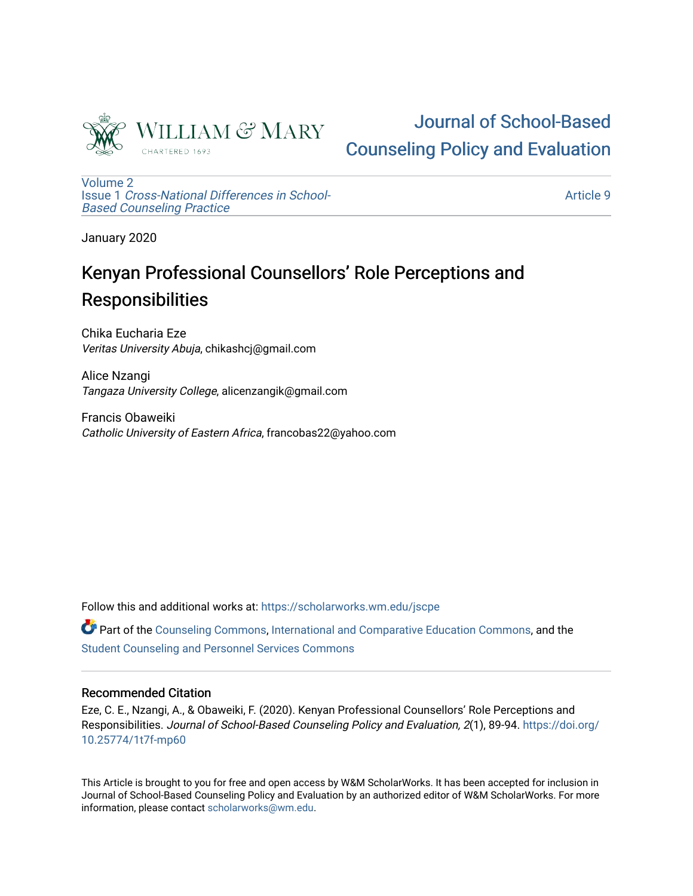

# [Journal of School-Based](https://scholarworks.wm.edu/jscpe)  [Counseling Policy and Evaluation](https://scholarworks.wm.edu/jscpe)

[Volume 2](https://scholarworks.wm.edu/jscpe/vol2) Issue 1 [Cross-National Differences in School-](https://scholarworks.wm.edu/jscpe/vol2/iss1)[Based Counseling Practice](https://scholarworks.wm.edu/jscpe/vol2/iss1) 

[Article 9](https://scholarworks.wm.edu/jscpe/vol2/iss1/9) 

January 2020

## Kenyan Professional Counsellors' Role Perceptions and **Responsibilities**

Chika Eucharia Eze Veritas University Abuja, chikashcj@gmail.com

Alice Nzangi Tangaza University College, alicenzangik@gmail.com

Francis Obaweiki Catholic University of Eastern Africa, francobas22@yahoo.com

Follow this and additional works at: [https://scholarworks.wm.edu/jscpe](https://scholarworks.wm.edu/jscpe?utm_source=scholarworks.wm.edu%2Fjscpe%2Fvol2%2Fiss1%2F9&utm_medium=PDF&utm_campaign=PDFCoverPages) 

Part of the [Counseling Commons,](http://network.bepress.com/hgg/discipline/1268?utm_source=scholarworks.wm.edu%2Fjscpe%2Fvol2%2Fiss1%2F9&utm_medium=PDF&utm_campaign=PDFCoverPages) [International and Comparative Education Commons](http://network.bepress.com/hgg/discipline/797?utm_source=scholarworks.wm.edu%2Fjscpe%2Fvol2%2Fiss1%2F9&utm_medium=PDF&utm_campaign=PDFCoverPages), and the [Student Counseling and Personnel Services Commons](http://network.bepress.com/hgg/discipline/802?utm_source=scholarworks.wm.edu%2Fjscpe%2Fvol2%2Fiss1%2F9&utm_medium=PDF&utm_campaign=PDFCoverPages)

#### Recommended Citation

Eze, C. E., Nzangi, A., & Obaweiki, F. (2020). Kenyan Professional Counsellors' Role Perceptions and Responsibilities. Journal of School-Based Counseling Policy and Evaluation, 2(1), 89-94. [https://doi.org/](https://doi.org/10.25774/1t7f-mp60) [10.25774/1t7f-mp60](https://doi.org/10.25774/1t7f-mp60)

This Article is brought to you for free and open access by W&M ScholarWorks. It has been accepted for inclusion in Journal of School-Based Counseling Policy and Evaluation by an authorized editor of W&M ScholarWorks. For more information, please contact [scholarworks@wm.edu](mailto:scholarworks@wm.edu).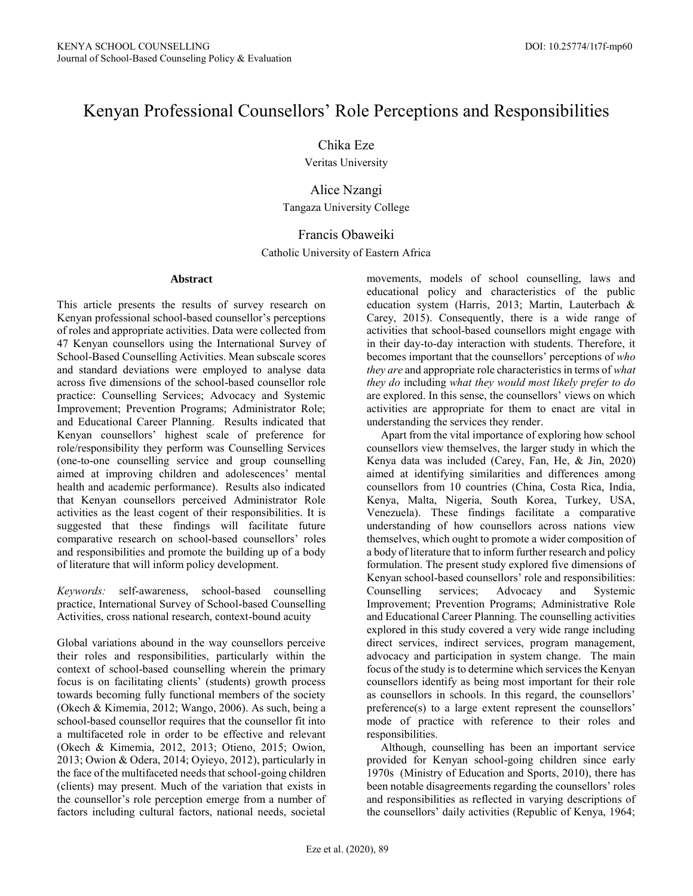### Kenyan Professional Counsellors' Role Perceptions and Responsibilities

Chika Eze

Veritas University

Alice Nzangi Tangaza University College

#### Francis Obaweiki

Catholic University of Eastern Africa

#### **Abstract**

This article presents the results of survey research on Kenyan professional school-based counsellor's perceptions of roles and appropriate activities. Data were collected from 47 Kenyan counsellors using the International Survey of School-Based Counselling Activities. Mean subscale scores and standard deviations were employed to analyse data across five dimensions of the school-based counsellor role practice: Counselling Services; Advocacy and Systemic Improvement; Prevention Programs; Administrator Role; and Educational Career Planning. Results indicated that Kenyan counsellors' highest scale of preference for role/responsibility they perform was Counselling Services (one-to-one counselling service and group counselling aimed at improving children and adolescences' mental health and academic performance). Results also indicated that Kenyan counsellors perceived Administrator Role activities as the least cogent of their responsibilities. It is suggested that these findings will facilitate future comparative research on school-based counsellors' roles and responsibilities and promote the building up of a body of literature that will inform policy development.

*Keywords:* self-awareness, school-based counselling practice, International Survey of School-based Counselling Activities, cross national research, context-bound acuity

Global variations abound in the way counsellors perceive their roles and responsibilities, particularly within the context of school-based counselling wherein the primary focus is on facilitating clients' (students) growth process towards becoming fully functional members of the society (Okech & Kimemia, 2012; Wango, 2006). As such, being a school-based counsellor requires that the counsellor fit into a multifaceted role in order to be effective and relevant (Okech & Kimemia, 2012, 2013; Otieno, 2015; Owion, 2013; Owion & Odera, 2014; Oyieyo, 2012), particularly in the face of the multifaceted needs that school-going children (clients) may present. Much of the variation that exists in the counsellor's role perception emerge from a number of factors including cultural factors, national needs, societal movements, models of school counselling, laws and educational policy and characteristics of the public education system (Harris, 2013; Martin, Lauterbach & Carey, 2015). Consequently, there is a wide range of activities that school-based counsellors might engage with in their day-to-day interaction with students. Therefore, it becomes important that the counsellors' perceptions of *who they are* and appropriate role characteristics in terms of *what they do* including *what they would most likely prefer to do* are explored. In this sense, the counsellors' views on which activities are appropriate for them to enact are vital in understanding the services they render.

 Apart from the vital importance of exploring how school counsellors view themselves, the larger study in which the Kenya data was included (Carey, Fan, He, & Jin, 2020) aimed at identifying similarities and differences among counsellors from 10 countries (China, Costa Rica, India, Kenya, Malta, Nigeria, South Korea, Turkey, USA, Venezuela). These findings facilitate a comparative understanding of how counsellors across nations view themselves, which ought to promote a wider composition of a body of literature that to inform further research and policy formulation. The present study explored five dimensions of Kenyan school-based counsellors' role and responsibilities: Counselling services; Advocacy and Systemic Improvement; Prevention Programs; Administrative Role and Educational Career Planning. The counselling activities explored in this study covered a very wide range including direct services, indirect services, program management, advocacy and participation in system change. The main focus of the study is to determine which services the Kenyan counsellors identify as being most important for their role as counsellors in schools. In this regard, the counsellors' preference(s) to a large extent represent the counsellors' mode of practice with reference to their roles and responsibilities.

 Although, counselling has been an important service provided for Kenyan school-going children since early 1970s (Ministry of Education and Sports, 2010), there has been notable disagreements regarding the counsellors' roles and responsibilities as reflected in varying descriptions of the counsellors' daily activities (Republic of Kenya, 1964;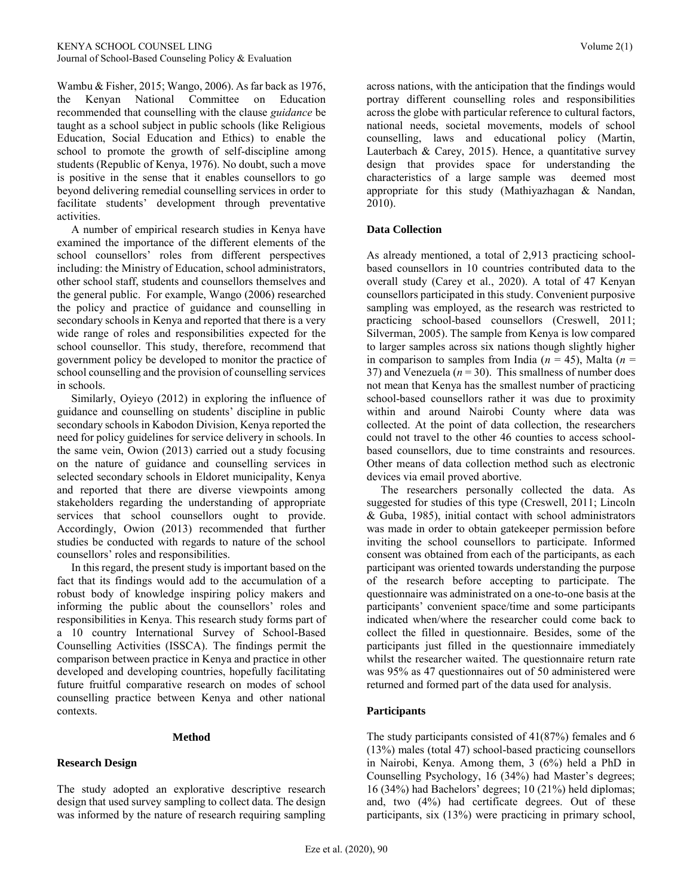Wambu & Fisher, 2015; Wango, 2006). As far back as 1976, the Kenyan National Committee on Education recommended that counselling with the clause *guidance* be taught as a school subject in public schools (like Religious Education, Social Education and Ethics) to enable the school to promote the growth of self-discipline among students (Republic of Kenya, 1976). No doubt, such a move is positive in the sense that it enables counsellors to go beyond delivering remedial counselling services in order to facilitate students' development through preventative activities.

 A number of empirical research studies in Kenya have examined the importance of the different elements of the school counsellors' roles from different perspectives including: the Ministry of Education, school administrators, other school staff, students and counsellors themselves and the general public. For example, Wango (2006) researched the policy and practice of guidance and counselling in secondary schools in Kenya and reported that there is a very wide range of roles and responsibilities expected for the school counsellor. This study, therefore, recommend that government policy be developed to monitor the practice of school counselling and the provision of counselling services in schools.

 Similarly, Oyieyo (2012) in exploring the influence of guidance and counselling on students' discipline in public secondary schools in Kabodon Division, Kenya reported the need for policy guidelines for service delivery in schools. In the same vein, Owion (2013) carried out a study focusing on the nature of guidance and counselling services in selected secondary schools in Eldoret municipality, Kenya and reported that there are diverse viewpoints among stakeholders regarding the understanding of appropriate services that school counsellors ought to provide. Accordingly, Owion (2013) recommended that further studies be conducted with regards to nature of the school counsellors' roles and responsibilities.

 In this regard, the present study is important based on the fact that its findings would add to the accumulation of a robust body of knowledge inspiring policy makers and informing the public about the counsellors' roles and responsibilities in Kenya. This research study forms part of a 10 country International Survey of School-Based Counselling Activities (ISSCA). The findings permit the comparison between practice in Kenya and practice in other developed and developing countries, hopefully facilitating future fruitful comparative research on modes of school counselling practice between Kenya and other national contexts.

#### **Method**

#### **Research Design**

The study adopted an explorative descriptive research design that used survey sampling to collect data. The design was informed by the nature of research requiring sampling

across nations, with the anticipation that the findings would portray different counselling roles and responsibilities across the globe with particular reference to cultural factors, national needs, societal movements, models of school counselling, laws and educational policy (Martin, Lauterbach & Carey, 2015). Hence, a quantitative survey design that provides space for understanding the characteristics of a large sample was deemed most appropriate for this study (Mathiyazhagan & Nandan, 2010).

#### **Data Collection**

As already mentioned, a total of 2,913 practicing schoolbased counsellors in 10 countries contributed data to the overall study (Carey et al., 2020). A total of 47 Kenyan counsellors participated in this study. Convenient purposive sampling was employed, as the research was restricted to practicing school-based counsellors (Creswell, 2011; Silverman, 2005). The sample from Kenya is low compared to larger samples across six nations though slightly higher in comparison to samples from India ( $n = 45$ ), Malta ( $n =$ 37) and Venezuela  $(n = 30)$ . This smallness of number does not mean that Kenya has the smallest number of practicing school-based counsellors rather it was due to proximity within and around Nairobi County where data was collected. At the point of data collection, the researchers could not travel to the other 46 counties to access schoolbased counsellors, due to time constraints and resources. Other means of data collection method such as electronic devices via email proved abortive.

 The researchers personally collected the data. As suggested for studies of this type (Creswell, 2011; Lincoln & Guba, 1985), initial contact with school administrators was made in order to obtain gatekeeper permission before inviting the school counsellors to participate. Informed consent was obtained from each of the participants, as each participant was oriented towards understanding the purpose of the research before accepting to participate. The questionnaire was administrated on a one-to-one basis at the participants' convenient space/time and some participants indicated when/where the researcher could come back to collect the filled in questionnaire. Besides, some of the participants just filled in the questionnaire immediately whilst the researcher waited. The questionnaire return rate was 95% as 47 questionnaires out of 50 administered were returned and formed part of the data used for analysis.

#### **Participants**

The study participants consisted of 41(87%) females and 6 (13%) males (total 47) school-based practicing counsellors in Nairobi, Kenya. Among them, 3 (6%) held a PhD in Counselling Psychology, 16 (34%) had Master's degrees; 16 (34%) had Bachelors' degrees; 10 (21%) held diplomas; and, two (4%) had certificate degrees. Out of these participants, six (13%) were practicing in primary school,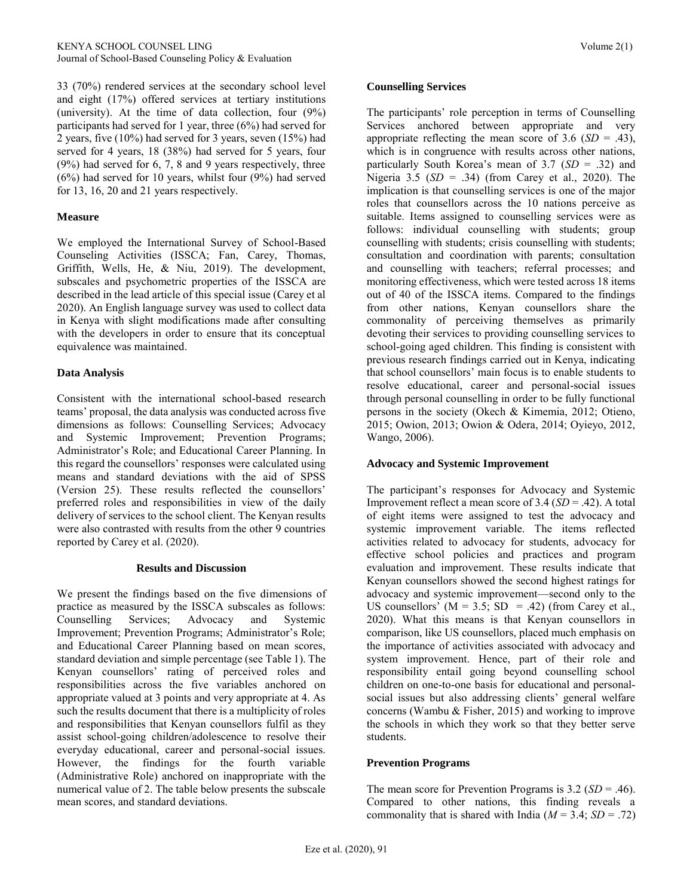33 (70%) rendered services at the secondary school level and eight (17%) offered services at tertiary institutions (university). At the time of data collection, four (9%) participants had served for 1 year, three (6%) had served for 2 years, five (10%) had served for 3 years, seven (15%) had served for 4 years, 18 (38%) had served for 5 years, four (9%) had served for 6, 7, 8 and 9 years respectively, three (6%) had served for 10 years, whilst four (9%) had served for 13, 16, 20 and 21 years respectively.

#### **Measure**

We employed the International Survey of School-Based Counseling Activities (ISSCA; Fan, Carey, Thomas, Griffith, Wells, He, & Niu, 2019). The development, subscales and psychometric properties of the ISSCA are described in the lead article of this special issue (Carey et al 2020). An English language survey was used to collect data in Kenya with slight modifications made after consulting with the developers in order to ensure that its conceptual equivalence was maintained.

#### **Data Analysis**

Consistent with the international school-based research teams' proposal, the data analysis was conducted across five dimensions as follows: Counselling Services; Advocacy and Systemic Improvement; Prevention Programs; Administrator's Role; and Educational Career Planning. In this regard the counsellors' responses were calculated using means and standard deviations with the aid of SPSS (Version 25). These results reflected the counsellors' preferred roles and responsibilities in view of the daily delivery of services to the school client. The Kenyan results were also contrasted with results from the other 9 countries reported by Carey et al. (2020).

#### **Results and Discussion**

We present the findings based on the five dimensions of practice as measured by the ISSCA subscales as follows: Counselling Services; Advocacy and Systemic Improvement; Prevention Programs; Administrator's Role; and Educational Career Planning based on mean scores, standard deviation and simple percentage (see Table 1). The Kenyan counsellors' rating of perceived roles and responsibilities across the five variables anchored on appropriate valued at 3 points and very appropriate at 4. As such the results document that there is a multiplicity of roles and responsibilities that Kenyan counsellors fulfil as they assist school-going children/adolescence to resolve their everyday educational, career and personal-social issues. However, the findings for the fourth variable (Administrative Role) anchored on inappropriate with the numerical value of 2. The table below presents the subscale mean scores, and standard deviations.

#### **Counselling Services**

The participants' role perception in terms of Counselling Services anchored between appropriate and very appropriate reflecting the mean score of 3.6  $(SD = .43)$ , which is in congruence with results across other nations, particularly South Korea's mean of 3.7 (*SD* = .32) and Nigeria 3.5 (*SD* = .34) (from Carey et al., 2020). The implication is that counselling services is one of the major roles that counsellors across the 10 nations perceive as suitable. Items assigned to counselling services were as follows: individual counselling with students; group counselling with students; crisis counselling with students; consultation and coordination with parents; consultation and counselling with teachers; referral processes; and monitoring effectiveness, which were tested across 18 items out of 40 of the ISSCA items. Compared to the findings from other nations, Kenyan counsellors share the commonality of perceiving themselves as primarily devoting their services to providing counselling services to school-going aged children. This finding is consistent with previous research findings carried out in Kenya, indicating that school counsellors' main focus is to enable students to resolve educational, career and personal-social issues through personal counselling in order to be fully functional persons in the society (Okech & Kimemia, 2012; Otieno, 2015; Owion, 2013; Owion & Odera, 2014; Oyieyo, 2012, Wango, 2006).

#### **Advocacy and Systemic Improvement**

The participant's responses for Advocacy and Systemic Improvement reflect a mean score of 3.4 (*SD* = .42). A total of eight items were assigned to test the advocacy and systemic improvement variable. The items reflected activities related to advocacy for students, advocacy for effective school policies and practices and program evaluation and improvement. These results indicate that Kenyan counsellors showed the second highest ratings for advocacy and systemic improvement—second only to the US counsellors'  $(M = 3.5; SD = .42)$  (from Carey et al., 2020). What this means is that Kenyan counsellors in comparison, like US counsellors, placed much emphasis on the importance of activities associated with advocacy and system improvement. Hence, part of their role and responsibility entail going beyond counselling school children on one-to-one basis for educational and personalsocial issues but also addressing clients' general welfare concerns (Wambu & Fisher, 2015) and working to improve the schools in which they work so that they better serve students.

#### **Prevention Programs**

The mean score for Prevention Programs is 3.2 (*SD* = .46). Compared to other nations, this finding reveals a commonality that is shared with India ( $M = 3.4$ ;  $SD = .72$ )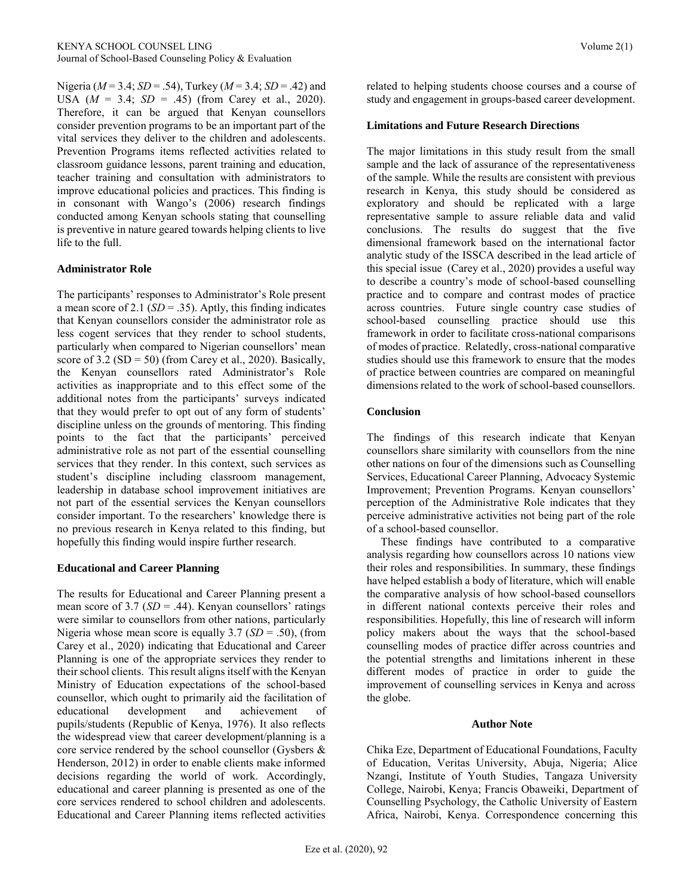Nigeria (*M* = 3.4; *SD* = .54), Turkey (*M* = 3.4; *SD* = .42) and USA  $(M = 3.4; SD = .45)$  (from Carey et al., 2020). Therefore, it can be argued that Kenyan counsellors consider prevention programs to be an important part of the vital services they deliver to the children and adolescents. Prevention Programs items reflected activities related to classroom guidance lessons, parent training and education, teacher training and consultation with administrators to improve educational policies and practices. This finding is in consonant with Wango's (2006) research findings conducted among Kenyan schools stating that counselling is preventive in nature geared towards helping clients to live life to the full.

#### **Administrator Role**

The participants' responses to Administrator's Role present a mean score of 2.1  $(SD = .35)$ . Aptly, this finding indicates that Kenyan counsellors consider the administrator role as less cogent services that they render to school students, particularly when compared to Nigerian counsellors' mean score of  $3.2$  (SD = 50) (from Carey et al., 2020). Basically, the Kenyan counsellors rated Administrator's Role activities as inappropriate and to this effect some of the additional notes from the participants' surveys indicated that they would prefer to opt out of any form of students' discipline unless on the grounds of mentoring. This finding points to the fact that the participants' perceived administrative role as not part of the essential counselling services that they render. In this context, such services as student's discipline including classroom management, leadership in database school improvement initiatives are not part of the essential services the Kenyan counsellors consider important. To the researchers' knowledge there is no previous research in Kenya related to this finding, but hopefully this finding would inspire further research.

#### **Educational and Career Planning**

The results for Educational and Career Planning present a mean score of 3.7 (*SD* = .44). Kenyan counsellors' ratings were similar to counsellors from other nations, particularly Nigeria whose mean score is equally 3.7 (*SD* = .50), (from Carey et al., 2020) indicating that Educational and Career Planning is one of the appropriate services they render to their school clients. This result aligns itself with the Kenyan Ministry of Education expectations of the school-based counsellor, which ought to primarily aid the facilitation of educational development and achievement of pupils/students (Republic of Kenya, 1976). It also reflects the widespread view that career development/planning is a core service rendered by the school counsellor (Gysbers & Henderson, 2012) in order to enable clients make informed decisions regarding the world of work. Accordingly, educational and career planning is presented as one of the core services rendered to school children and adolescents. Educational and Career Planning items reflected activities related to helping students choose courses and a course of study and engagement in groups-based career development.

#### **Limitations and Future Research Directions**

The major limitations in this study result from the small sample and the lack of assurance of the representativeness of the sample. While the results are consistent with previous research in Kenya, this study should be considered as exploratory and should be replicated with a large representative sample to assure reliable data and valid conclusions. The results do suggest that the five dimensional framework based on the international factor analytic study of the ISSCA described in the lead article of this special issue (Carey et al., 2020) provides a useful way to describe a country's mode of school-based counselling practice and to compare and contrast modes of practice across countries. Future single country case studies of school-based counselling practice should use this framework in order to facilitate cross-national comparisons of modes of practice. Relatedly, cross-national comparative studies should use this framework to ensure that the modes of practice between countries are compared on meaningful dimensions related to the work of school-based counsellors.

#### **Conclusion**

The findings of this research indicate that Kenyan counsellors share similarity with counsellors from the nine other nations on four of the dimensions such as Counselling Services, Educational Career Planning, Advocacy Systemic Improvement; Prevention Programs. Kenyan counsellors' perception of the Administrative Role indicates that they perceive administrative activities not being part of the role of a school-based counsellor.

 These findings have contributed to a comparative analysis regarding how counsellors across 10 nations view their roles and responsibilities. In summary, these findings have helped establish a body of literature, which will enable the comparative analysis of how school-based counsellors in different national contexts perceive their roles and responsibilities. Hopefully, this line of research will inform policy makers about the ways that the school-based counselling modes of practice differ across countries and the potential strengths and limitations inherent in these different modes of practice in order to guide the improvement of counselling services in Kenya and across the globe.

#### **Author Note**

Chika Eze, Department of Educational Foundations, Faculty of Education, Veritas University, Abuja, Nigeria; Alice Nzangi, Institute of Youth Studies, Tangaza University College, Nairobi, Kenya; Francis Obaweiki, Department of Counselling Psychology, the Catholic University of Eastern Africa, Nairobi, Kenya. Correspondence concerning this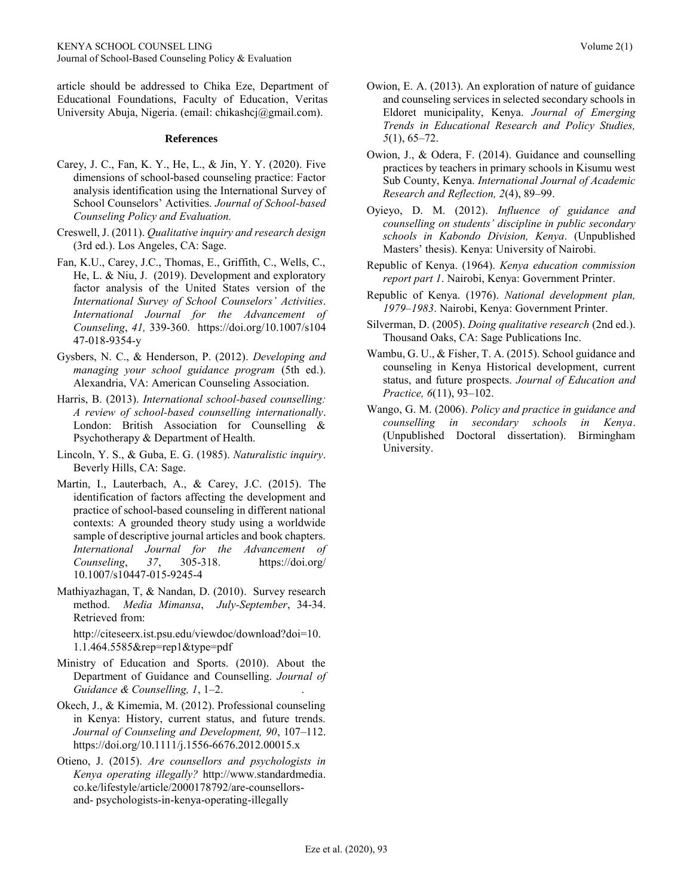article should be addressed to Chika Eze, Department of Educational Foundations, Faculty of Education, Veritas University Abuja, Nigeria. (email: chikashcj@gmail.com).

#### **References**

- Carey, J. C., Fan, K. Y., He, L., & Jin, Y. Y. (2020). Five dimensions of school-based counseling practice: Factor analysis identification using the International Survey of School Counselors' Activities. *Journal of School-based Counseling Policy and Evaluation.*
- Creswell, J. (2011). *Qualitative inquiry and research design*  (3rd ed.). Los Angeles, CA: Sage.
- Fan, K.U., Carey, J.C., Thomas, E., Griffith, C., Wells, C., He, L. & Niu, J. (2019). Development and exploratory factor analysis of the United States version of the *International Survey of School Counselors' Activities*. *International Journal for the Advancement of Counseling*, *41,* 339-360. https://doi.org/10.1007/s104 47-018-9354-y
- Gysbers, N. C., & Henderson, P. (2012). *Developing and managing your school guidance program* (5th ed.). Alexandria, VA: American Counseling Association.
- Harris, B. (2013). *International school-based counselling: A review of school-based counselling internationally*. London: British Association for Counselling & Psychotherapy & Department of Health.
- Lincoln, Y. S., & Guba, E. G. (1985). *Naturalistic inquiry*. Beverly Hills, CA: Sage.
- Martin, I., Lauterbach, A., & Carey, J.C. (2015). The identification of factors affecting the development and practice of school-based counseling in different national contexts: A grounded theory study using a worldwide sample of descriptive journal articles and book chapters. *International Journal for the Advancement of Counseling*, *37*, 305-318. https://doi.org/ 10.1007/s10447-015-9245-4
- Mathiyazhagan, T, & Nandan, D. (2010). Survey research method. *Media Mimansa*, *July-September*, 34-34. Retrieved from:

http://citeseerx.ist.psu.edu/viewdoc/download?doi=10. 1.1.464.5585&rep=rep1&type=pdf

- Ministry of Education and Sports. (2010). About the Department of Guidance and Counselling. *Journal of Guidance & Counselling, 1*, 1–2. .
- Okech, J., & Kimemia, M. (2012). Professional counseling in Kenya: History, current status, and future trends. *Journal of Counseling and Development, 90*, 107–112. https://doi.org/10.1111/j.1556-6676.2012.00015.x
- Otieno, J. (2015). *Are counsellors and psychologists in Kenya operating illegally?* http://www.standardmedia. co.ke/lifestyle/article/2000178792/are-counsellorsand- psychologists-in-kenya-operating-illegally
- Owion, E. A. (2013). An exploration of nature of guidance and counseling services in selected secondary schools in Eldoret municipality, Kenya. *Journal of Emerging Trends in Educational Research and Policy Studies, 5*(1), 65–72.
- Owion, J., & Odera, F. (2014). Guidance and counselling practices by teachers in primary schools in Kisumu west Sub County, Kenya. *International Journal of Academic Research and Reflection, 2*(4), 89–99.
- Oyieyo, D. M. (2012). *Influence of guidance and counselling on students' discipline in public secondary schools in Kabondo Division, Kenya*. (Unpublished Masters' thesis). Kenya: University of Nairobi.
- Republic of Kenya. (1964). *Kenya education commission report part 1*. Nairobi, Kenya: Government Printer.
- Republic of Kenya. (1976). *National development plan, 1979–1983*. Nairobi, Kenya: Government Printer.
- Silverman, D. (2005). *Doing qualitative research* (2nd ed.). Thousand Oaks, CA: Sage Publications Inc.
- Wambu, G. U., & Fisher, T. A. (2015). School guidance and counseling in Kenya Historical development, current status, and future prospects. *Journal of Education and Practice, 6*(11), 93–102.
- Wango, G. M. (2006). *Policy and practice in guidance and counselling in secondary schools in Kenya*. (Unpublished Doctoral dissertation). Birmingham University.